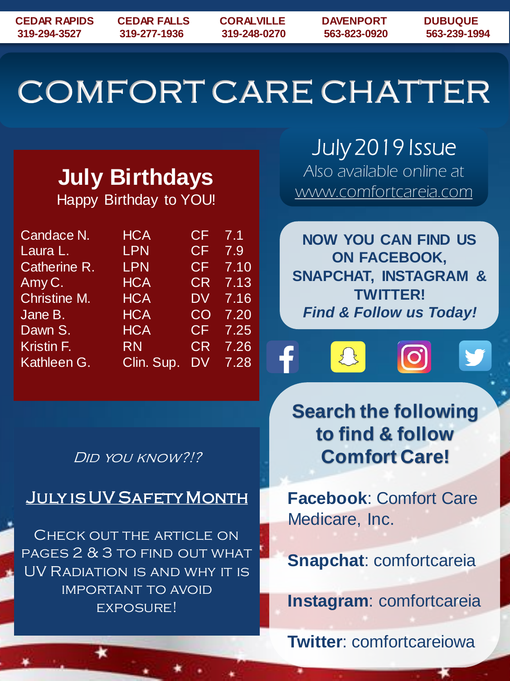# COMFORT CARE CHATTER

# **July Birthdays**

Happy Birthday to YOU!

| Candace N.            | <b>HCA</b> | CF                                | 7.1  |
|-----------------------|------------|-----------------------------------|------|
| Laura L.              | <b>LPN</b> | CF                                | 7.9  |
| Catherine R.          | <b>LPN</b> | $\overline{\mathsf{C}}\mathsf{F}$ | 7.10 |
| Amy C.                | <b>HCA</b> | <b>CR</b>                         | 7.13 |
| <b>Christine M.</b>   | <b>HCA</b> | <b>DV</b>                         | 7.16 |
| Jane B.               | <b>HCA</b> | CO                                | 7.20 |
| Dawn S.               | <b>HCA</b> | CF                                | 7.25 |
| Kristin <sub>F.</sub> | <b>RN</b>  | <b>CR</b>                         | 7.26 |
| Kathleen G.           | Clin. Sup. | DV                                | 7.28 |

July 2019 Issue Also available online at www.comfortcareia.com

**NOW YOU CAN FIND US ON FACEBOOK, SNAPCHAT, INSTAGRAM & TWITTER!** *Find & Follow us Today!*



**Search the following to find & follow Comfort Care!**

**Facebook**: Comfort Care Medicare, Inc.

**Snapchat**: comfortcareia

**Instagram**: comfortcareia

**Twitter**: comfortcareiowa

#### Did you know?!?

### July is UV Safety Month

Check out the article on pages 2 & 3 to find out what UV Radiation is and why it is important to avoid EXPOSURE!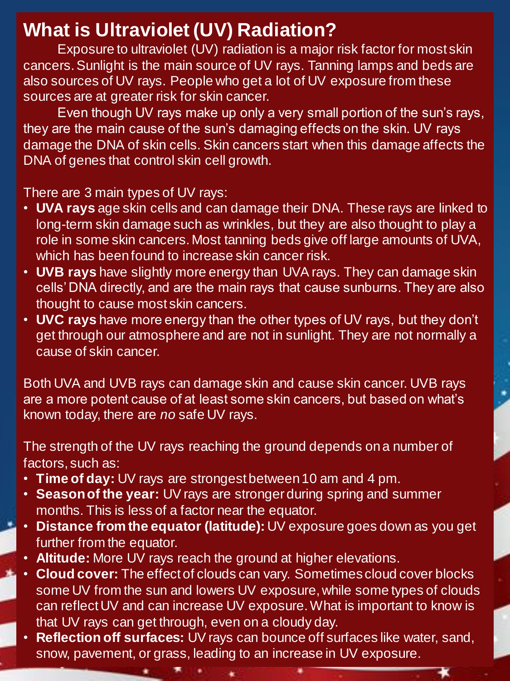## **What is Ultraviolet (UV) Radiation?**

Exposure to ultraviolet (UV) radiation is a major risk factor for most skin cancers. Sunlight is the main source of UV rays. Tanning lamps and beds are also sources of UV rays. People who get a lot of UV exposure from these sources are at greater risk for skin cancer.

Even though UV rays make up only a very small portion of the sun's rays, they are the main cause of the sun's damaging effects on the skin. UV rays damage the DNA of skin cells. Skin cancers start when this damage affects the DNA of genes that control skin cell growth.

There are 3 main types of UV rays:

- **UVA rays** age skin cells and can damage their DNA. These rays are linked to long-term skin damage such as wrinkles, but they are also thought to play a role in some skin cancers. Most tanning beds give off large amounts of UVA, which has been found to increase skin cancer risk.
- **UVB rays** have slightly more energy than UVA rays. They can damage skin cells' DNA directly, and are the main rays that cause sunburns. They are also thought to cause most skin cancers.
- **UVC rays** have more energy than the other types of UV rays, but they don't get through our atmosphere and are not in sunlight. They are not normally a cause of skin cancer.

Both UVA and UVB rays can damage skin and cause skin cancer. UVB rays are a more potent cause of at least some skin cancers, but based on what's known today, there are *no* safe UV rays.

The strength of the UV rays reaching the ground depends on a number of factors, such as:

- **Time of day:** UV rays are strongest between 10 am and 4 pm.
- **Season of the year:** UV rays are stronger during spring and summer months. This is less of a factor near the equator.
- **Distance from the equator (latitude):** UV exposure goes down as you get further from the equator.
- **Altitude:** More UV rays reach the ground at higher elevations.
- **Cloud cover:** The effect of clouds can vary. Sometimes cloud cover blocks some UV from the sun and lowers UV exposure, while some types of clouds can reflect UV and can increase UV exposure. What is important to know is that UV rays can get through, even on a cloudy day.
- **Reflection off surfaces:** UV rays can bounce off surfaces like water, sand, snow, pavement, or grass, leading to an increase in UV exposure.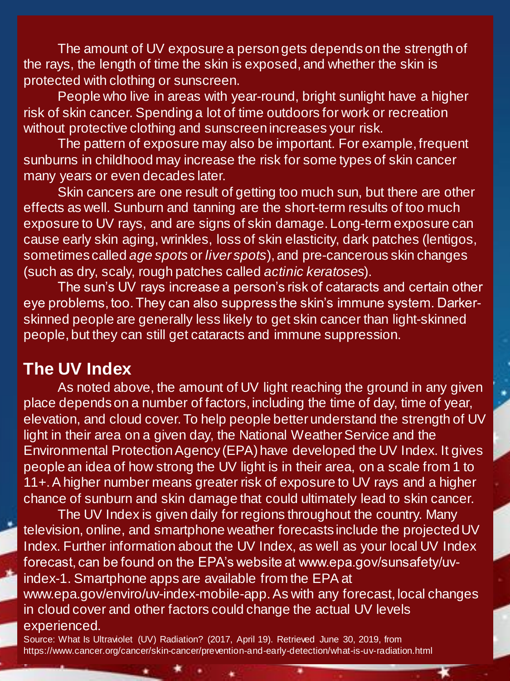The amount of UV exposure a person gets depends on the strength of the rays, the length of time the skin is exposed, and whether the skin is protected with clothing or sunscreen.

People who live in areas with year-round, bright sunlight have a higher risk of skin cancer. Spending a lot of time outdoors for work or recreation without protective clothing and sunscreen increases your risk.

The pattern of exposure may also be important. For example, frequent sunburns in childhood may increase the risk for some types of skin cancer many years or even decades later.

Skin cancers are one result of getting too much sun, but there are other effects as well. Sunburn and tanning are the short-term results of too much exposure to UV rays, and are signs of skin damage. Long-term exposure can cause early skin aging, wrinkles, loss of skin elasticity, dark patches (lentigos, sometimes called *age spots* or *liver spots*), and pre-cancerous skin changes (such as dry, scaly, rough patches called *actinic keratoses*).

The sun's UV rays increase a person's risk of cataracts and certain other eye problems, too. They can also suppress the skin's immune system. Darkerskinned people are generally less likely to get skin cancer than light-skinned people, but they can still get cataracts and immune suppression.

#### **The UV Index**

As noted above, the amount of UV light reaching the ground in any given place depends on a number of factors, including the time of day, time of year, elevation, and cloud cover. To help people better understand the strength of UV light in their area on a given day, the National Weather Service and the Environmental Protection Agency (EPA) have developed the UV Index. It gives people an idea of how strong the UV light is in their area, on a scale from 1 to 11+. A higher number means greater risk of exposure to UV rays and a higher chance of sunburn and skin damage that could ultimately lead to skin cancer.

The UV Index is given daily for regions throughout the country. Many television, online, and smartphone weather forecasts include the projected UV Index. Further information about the UV Index, as well as your local UV Index forecast, can be found on the EPA's website at www.epa.gov/sunsafety/uvindex-1. Smartphone apps are available from the EPA at www.epa.gov/enviro/uv-index-mobile-app. As with any forecast, local changes in cloud cover and other factors could change the actual UV levels experienced.

Source: What Is Ultraviolet (UV) Radiation? (2017, April 19). Retrieved June 30, 2019, from https://www.cancer.org/cancer/skin-cancer/prevention-and-early-detection/what-is-uv-radiation.html